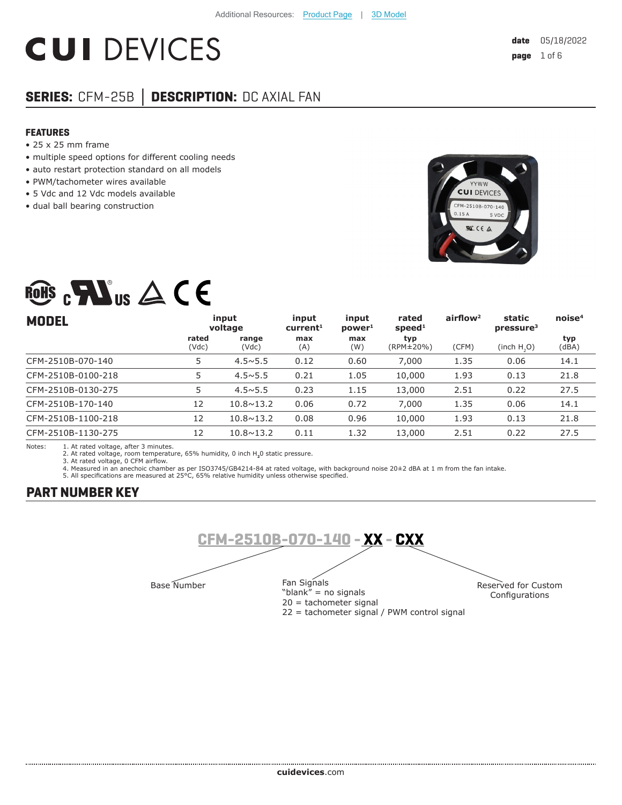# **CUI DEVICES**

## **SERIES:** CFM-25B **│ DESCRIPTION:** DC AXIAL FAN

#### **FEATURES**

- 25 x 25 mm frame
- multiple speed options for different cooling needs
- auto restart protection standard on all models
- PWM/tachometer wires available
- 5 Vdc and 12 Vdc models available
- dual ball bearing construction



## ROHS  $_{c}\mathbf{W}$ us  $\triangle$  CE

| <b>MODEL</b>       |                | input<br>voltage   | input<br>current <sup>1</sup> | input<br>power <sup>1</sup> | rated<br>speed <sup>1</sup> | airflow <sup>2</sup> | static<br>pressure <sup>3</sup> | noise <sup>4</sup> |
|--------------------|----------------|--------------------|-------------------------------|-----------------------------|-----------------------------|----------------------|---------------------------------|--------------------|
|                    | rated<br>(Vdc) | range<br>(Vdc)     | max<br>(A)                    | max<br>(W)                  | typ<br>(RPM±20%)            | (CFM)                | (inch H, O)                     | typ<br>(dBA)       |
| CFM-2510B-070-140  | 5              | $4.5 \times 5.5$   | 0.12                          | 0.60                        | 7,000                       | 1.35                 | 0.06                            | 14.1               |
| CFM-2510B-0100-218 | 5              | $4.5 \times 5.5$   | 0.21                          | 1.05                        | 10,000                      | 1.93                 | 0.13                            | 21.8               |
| CFM-2510B-0130-275 | 5              | $4.5 \times 5.5$   | 0.23                          | 1.15                        | 13,000                      | 2.51                 | 0.22                            | 27.5               |
| CFM-2510B-170-140  | 12             | $10.8 \times 13.2$ | 0.06                          | 0.72                        | 7,000                       | 1.35                 | 0.06                            | 14.1               |
| CFM-2510B-1100-218 | 12             | $10.8 \times 13.2$ | 0.08                          | 0.96                        | 10,000                      | 1.93                 | 0.13                            | 21.8               |
| CFM-2510B-1130-275 | 12             | $10.8 \times 13.2$ | 0.11                          | 1.32                        | 13,000                      | 2.51                 | 0.22                            | 27.5               |

Notes: 1. At rated voltage, after 3 minutes. 2. At rated voltage, room temperature, 65% humidity, 0 inch H**2**0 static pressure.

3. At rated voltage, 0 CFM airflow.

4. Measured in an anechoic chamber as per ISO3745/GB4214-84 at rated voltage, with background noise 20±2 dBA at 1 m from the fan intake.<br>5. All specifications are measured at 25°C, 65% relative humidity unless otherwise sp

## **PART NUMBER KEY**

......................



"blank" = no signals 20 = tachometer signal 22 = tachometer signal / PWM control signal Reserved for Custom Configurations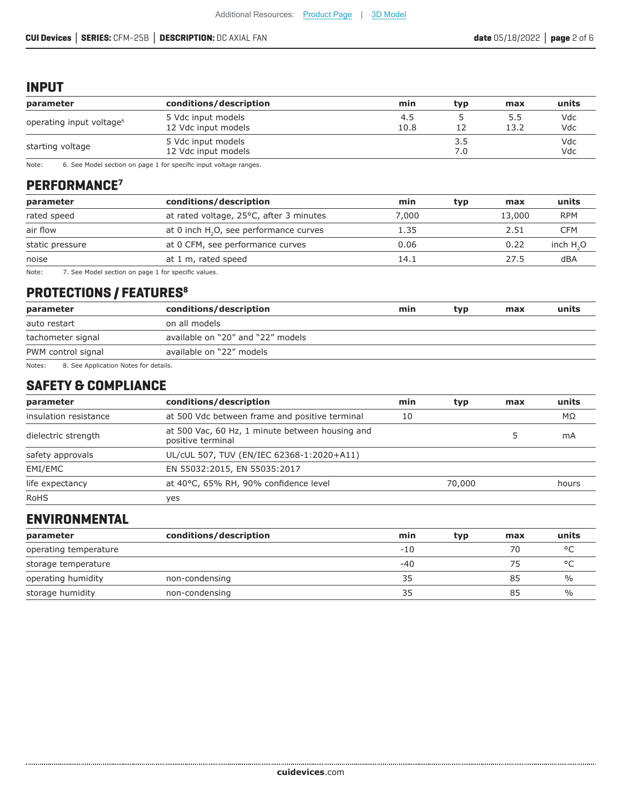### **INPUT**

| parameter                                                     | conditions/description                    | min         | typ        | max         | units      |
|---------------------------------------------------------------|-------------------------------------------|-------------|------------|-------------|------------|
| operating input voltage <sup>6</sup>                          | 5 Vdc input models<br>12 Vdc input models | 4.5<br>10.8 |            | 5.5<br>13.2 | Vdc<br>Vdc |
| 5 Vdc input models<br>starting voltage<br>12 Vdc input models |                                           |             | 3.5<br>7.0 |             | Vdc<br>Vdc |

Note: 6. See Model section on page 1 for specific input voltage ranges.

## **PERFORMANCE7**

| parameter       | conditions/description                   | min   | typ | max    | units      |
|-----------------|------------------------------------------|-------|-----|--------|------------|
| rated speed     | at rated voltage, 25°C, after 3 minutes  | 7.000 |     | 13,000 | <b>RPM</b> |
| air flow        | at 0 inch $H2O$ , see performance curves | 1.35  |     | 2.51   | CFM        |
| static pressure | at 0 CFM, see performance curves         | 0.06  |     | 0.22   | inch $H2O$ |
| noise           | at 1 m, rated speed                      | 14.1  |     | 27.5   | dBA        |
|                 |                                          |       |     |        |            |

Note: 7. See Model section on page 1 for specific values.

## **PROTECTIONS / FEATURES<sup>8</sup>**

| parameter                                       | conditions/description            | min | typ | max | units |
|-------------------------------------------------|-----------------------------------|-----|-----|-----|-------|
| on all models<br>auto restart                   |                                   |     |     |     |       |
| tachometer signal                               | available on "20" and "22" models |     |     |     |       |
| available on "22" models<br>PWM control signal  |                                   |     |     |     |       |
| Notes:<br>8. See Application Notes for details. |                                   |     |     |     |       |

## **SAFETY & COMPLIANCE**

| conditions/description<br>parameter |                                                                      | min | typ    | max | units     |
|-------------------------------------|----------------------------------------------------------------------|-----|--------|-----|-----------|
| insulation resistance               | at 500 Vdc between frame and positive terminal                       | 10  |        |     | $M\Omega$ |
| dielectric strength                 | at 500 Vac, 60 Hz, 1 minute between housing and<br>positive terminal |     |        |     | mA        |
| safety approvals                    | UL/cUL 507, TUV (EN/IEC 62368-1:2020+A11)                            |     |        |     |           |
| EMI/EMC                             | EN 55032:2015, EN 55035:2017                                         |     |        |     |           |
| life expectancy                     | at 40°C, 65% RH, 90% confidence level                                |     | 70,000 |     | hours     |
| <b>RoHS</b>                         | ves                                                                  |     |        |     |           |

## **ENVIRONMENTAL**

| parameter             | conditions/description | min   | typ | max | units   |
|-----------------------|------------------------|-------|-----|-----|---------|
| operating temperature |                        | $-10$ |     | 70  | $\circ$ |
| storage temperature   |                        | -40   |     | 75  | $\circ$ |
| operating humidity    | non-condensing         | 35    |     | 85  | $\%$    |
| storage humidity      | non-condensing         | 35    |     | 85  | %       |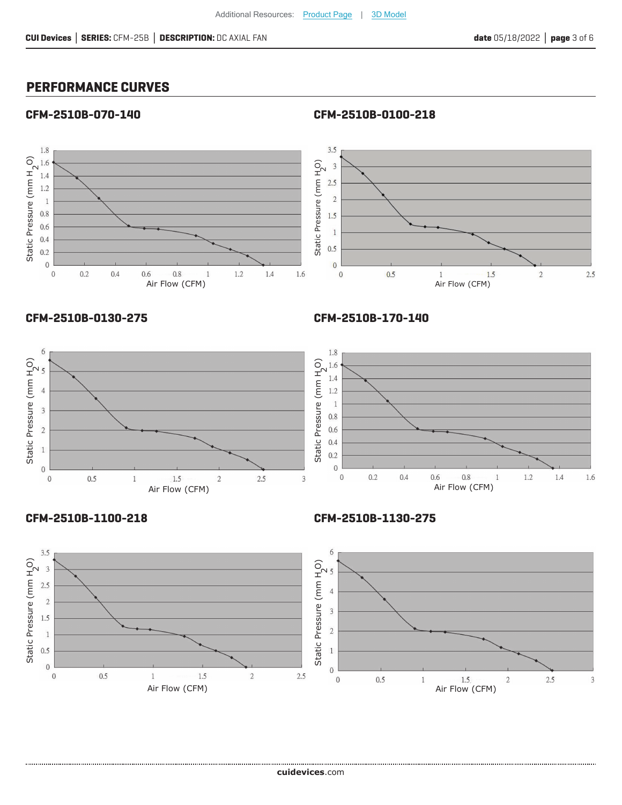## **PERFORMANCE CURVES**

#### **CFM-2510B-070-140**



#### **CFM-2510B-0130-275**

**CFM-2510B-170-140**

**CFM-2510B-0100-218**





**CFM-2510B-1100-218**

**CFM-2510B-1130-275**

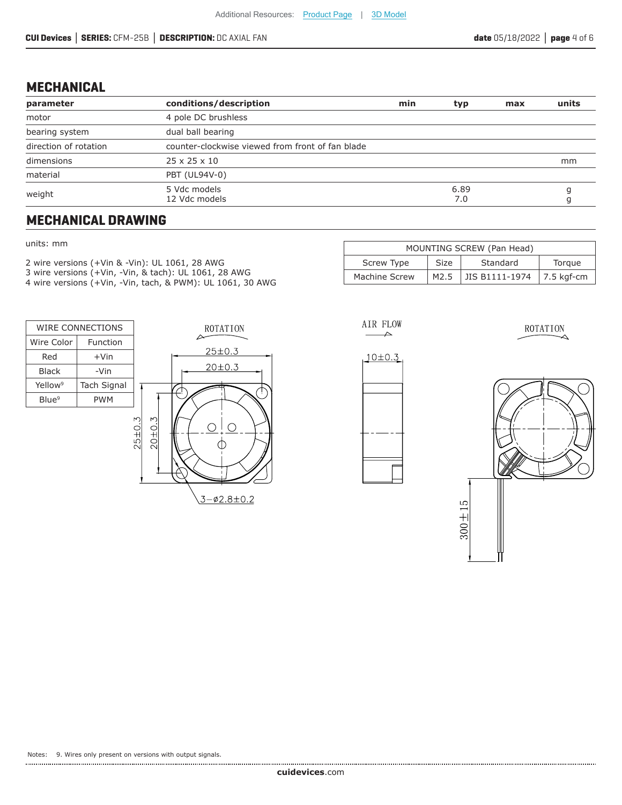## **MECHANICAL**

| parameter             | conditions/description                           | min | typ         | max | units |
|-----------------------|--------------------------------------------------|-----|-------------|-----|-------|
| motor                 | 4 pole DC brushless                              |     |             |     |       |
| bearing system        | dual ball bearing                                |     |             |     |       |
| direction of rotation | counter-clockwise viewed from front of fan blade |     |             |     |       |
| dimensions            | $25 \times 25 \times 10$                         |     |             |     | mm    |
| material              | PBT (UL94V-0)                                    |     |             |     |       |
| weight                | 5 Vdc models<br>12 Vdc models                    |     | 6.89<br>7.0 |     |       |

## **MECHANICAL DRAWING**

#### units: mm

2 wire versions (+Vin & -Vin): UL 1061, 28 AWG 3 wire versions (+Vin, -Vin, & tach): UL 1061, 28 AWG 4 wire versions (+Vin, -Vin, tach, & PWM): UL 1061, 30 AWG



| MOUNTING SCREW (Pan Head)                       |      |                           |  |  |  |  |  |
|-------------------------------------------------|------|---------------------------|--|--|--|--|--|
| Screw Type<br>Standard<br><b>Size</b><br>Torque |      |                           |  |  |  |  |  |
| Machine Screw                                   | M2.5 | JIS B1111-1974 7.5 kgf-cm |  |  |  |  |  |



AIR FLOW



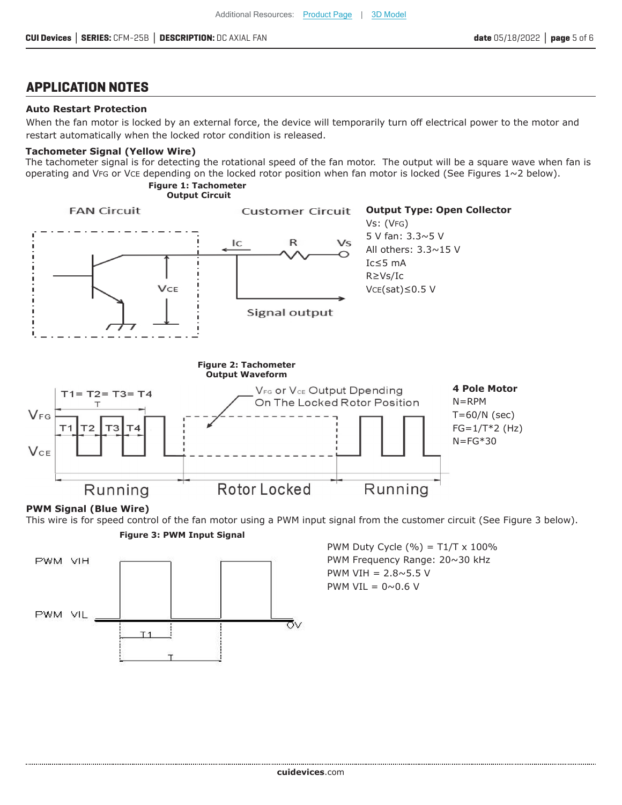## **APPLICATION NOTES**

#### **Auto Restart Protection**

When the fan motor is locked by an external force, the device will temporarily turn off electrical power to the motor and restart automatically when the locked rotor condition is released.

#### **Tachometer Signal (Yellow Wire)**

The tachometer signal is for detecting the rotational speed of the fan motor. The output will be a square wave when fan is operating and VFG or VCE depending on the locked rotor position when fan motor is locked (See Figures  $1~2$  below).

#### **Figure 1: Tachometer Output Circuit**



#### **PWM Signal (Blue Wire)**

This wire is for speed control of the fan motor using a PWM input signal from the customer circuit (See Figure 3 below).





PWM Duty Cycle  $(\% ) = T1/T \times 100\%$ PWM Frequency Range: 20~30 kHz PWM VIH  $= 2.8 \times 5.5$  V PWM VIL =  $0 \sim 0.6$  V